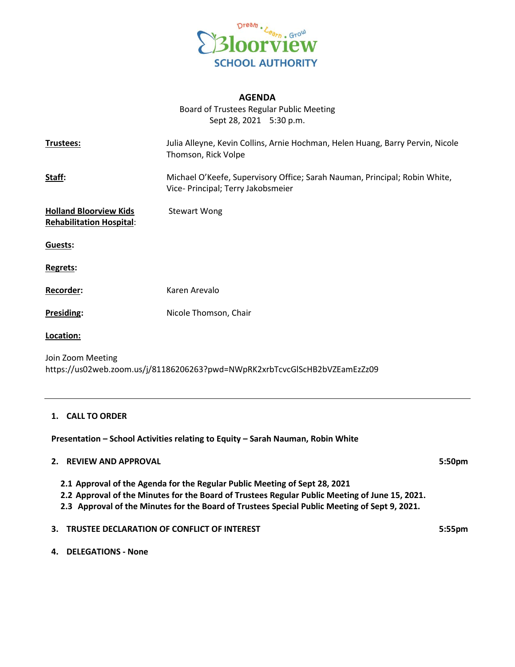

# **AGENDA**

Board of Trustees Regular Public Meeting Sept 28, 2021 5:30 p.m.

| Trustees:                                                                                       | Julia Alleyne, Kevin Collins, Arnie Hochman, Helen Huang, Barry Pervin, Nicole<br>Thomson, Rick Volpe            |  |
|-------------------------------------------------------------------------------------------------|------------------------------------------------------------------------------------------------------------------|--|
| <u>Staff:</u>                                                                                   | Michael O'Keefe, Supervisory Office; Sarah Nauman, Principal; Robin White,<br>Vice- Principal; Terry Jakobsmeier |  |
| <b>Holland Bloorview Kids</b><br><b>Rehabilitation Hospital:</b>                                | <b>Stewart Wong</b>                                                                                              |  |
| Guests:                                                                                         |                                                                                                                  |  |
| Regrets:                                                                                        |                                                                                                                  |  |
| Recorder:                                                                                       | Karen Arevalo                                                                                                    |  |
| Presiding:                                                                                      | Nicole Thomson, Chair                                                                                            |  |
| Location:                                                                                       |                                                                                                                  |  |
| Join Zoom Meeting<br>https://us02web.zoom.us/j/81186206263?pwd=NWpRK2xrbTcvcGlScHB2bVZEamEzZz09 |                                                                                                                  |  |
|                                                                                                 |                                                                                                                  |  |

#### **1. CALL TO ORDER**

**Presentation – School Activities relating to Equity – Sarah Nauman, Robin White**

# **2. REVIEW AND APPROVAL 5:50pm**

- **2.1 Approval of the Agenda for the Regular Public Meeting of Sept 28, 2021**
- **2.2 Approval of the Minutes for the Board of Trustees Regular Public Meeting of June 15, 2021.**
- **2.3 Approval of the Minutes for the Board of Trustees Special Public Meeting of Sept 9, 2021.**

# **3. TRUSTEE DECLARATION OF CONFLICT OF INTEREST 5:55pm**

### **4. DELEGATIONS - None**